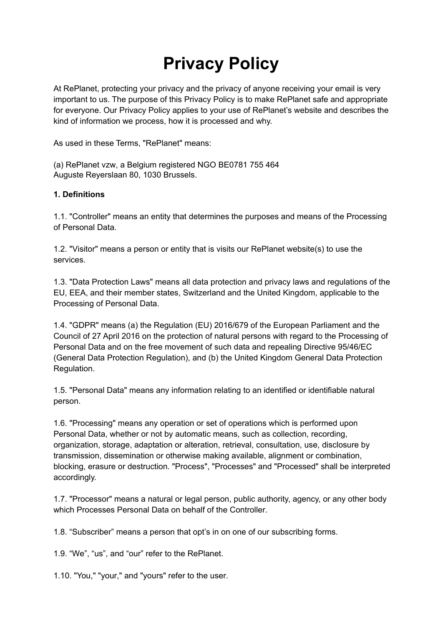# **Privacy Policy**

At RePlanet, protecting your privacy and the privacy of anyone receiving your email is very important to us. The purpose of this Privacy Policy is to make RePlanet safe and appropriate for everyone. Our Privacy Policy applies to your use of RePlanet's website and describes the kind of information we process, how it is processed and why.

As used in these Terms, "RePlanet" means:

(a) RePlanet vzw, a Belgium registered NGO BE0781 755 464 Auguste Reyerslaan 80, 1030 Brussels.

#### **1. Definitions**

1.1. "Controller" means an entity that determines the purposes and means of the Processing of Personal Data.

1.2. "Visitor" means a person or entity that is visits our RePlanet website(s) to use the services.

1.3. "Data Protection Laws" means all data protection and privacy laws and regulations of the EU, EEA, and their member states, Switzerland and the United Kingdom, applicable to the Processing of Personal Data.

1.4. "GDPR" means (a) the Regulation (EU) 2016/679 of the European Parliament and the Council of 27 April 2016 on the protection of natural persons with regard to the Processing of Personal Data and on the free movement of such data and repealing Directive 95/46/EC (General Data Protection Regulation), and (b) the United Kingdom General Data Protection Regulation.

1.5. "Personal Data" means any information relating to an identified or identifiable natural person.

1.6. "Processing" means any operation or set of operations which is performed upon Personal Data, whether or not by automatic means, such as collection, recording, organization, storage, adaptation or alteration, retrieval, consultation, use, disclosure by transmission, dissemination or otherwise making available, alignment or combination, blocking, erasure or destruction. "Process", "Processes" and "Processed" shall be interpreted accordingly.

1.7. "Processor" means a natural or legal person, public authority, agency, or any other body which Processes Personal Data on behalf of the Controller.

1.8. "Subscriber" means a person that opt's in on one of our subscribing forms.

1.9. "We", "us", and "our" refer to the RePlanet.

1.10. "You," "your," and "yours" refer to the user.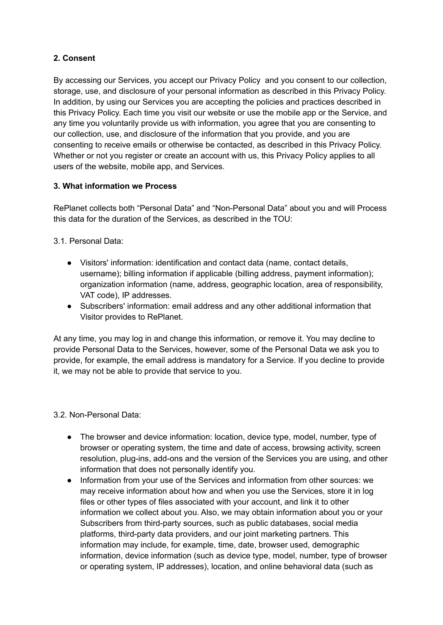## **2. Consent**

By accessing our Services, you accept our Privacy Policy and you consent to our collection, storage, use, and disclosure of your personal information as described in this Privacy Policy. In addition, by using our Services you are accepting the policies and practices described in this Privacy Policy. Each time you visit our website or use the mobile app or the Service, and any time you voluntarily provide us with information, you agree that you are consenting to our collection, use, and disclosure of the information that you provide, and you are consenting to receive emails or otherwise be contacted, as described in this Privacy Policy. Whether or not you register or create an account with us, this Privacy Policy applies to all users of the website, mobile app, and Services.

### **3. What information we Process**

RePlanet collects both "Personal Data" and "Non-Personal Data" about you and will Process this data for the duration of the Services, as described in the TOU:

3.1. Personal Data:

- Visitors' information: identification and contact data (name, contact details, username); billing information if applicable (billing address, payment information); organization information (name, address, geographic location, area of responsibility, VAT code), IP addresses.
- Subscribers' information: email address and any other additional information that Visitor provides to RePlanet.

At any time, you may log in and change this information, or remove it. You may decline to provide Personal Data to the Services, however, some of the Personal Data we ask you to provide, for example, the email address is mandatory for a Service. If you decline to provide it, we may not be able to provide that service to you.

3.2. Non-Personal Data:

- The browser and device information: location, device type, model, number, type of browser or operating system, the time and date of access, browsing activity, screen resolution, plug-ins, add-ons and the version of the Services you are using, and other information that does not personally identify you.
- Information from your use of the Services and information from other sources: we may receive information about how and when you use the Services, store it in log files or other types of files associated with your account, and link it to other information we collect about you. Also, we may obtain information about you or your Subscribers from third-party sources, such as public databases, social media platforms, third-party data providers, and our joint marketing partners. This information may include, for example, time, date, browser used, demographic information, device information (such as device type, model, number, type of browser or operating system, IP addresses), location, and online behavioral data (such as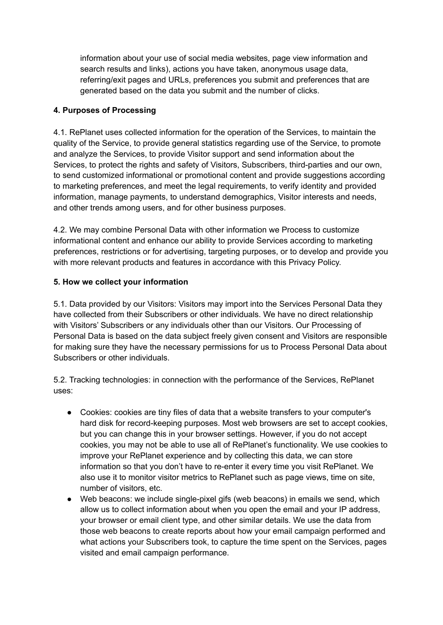information about your use of social media websites, page view information and search results and links), actions you have taken, anonymous usage data, referring/exit pages and URLs, preferences you submit and preferences that are generated based on the data you submit and the number of clicks.

## **4. Purposes of Processing**

4.1. RePlanet uses collected information for the operation of the Services, to maintain the quality of the Service, to provide general statistics regarding use of the Service, to promote and analyze the Services, to provide Visitor support and send information about the Services, to protect the rights and safety of Visitors, Subscribers, third-parties and our own, to send customized informational or promotional content and provide suggestions according to marketing preferences, and meet the legal requirements, to verify identity and provided information, manage payments, to understand demographics, Visitor interests and needs, and other trends among users, and for other business purposes.

4.2. We may combine Personal Data with other information we Process to customize informational content and enhance our ability to provide Services according to marketing preferences, restrictions or for advertising, targeting purposes, or to develop and provide you with more relevant products and features in accordance with this Privacy Policy.

### **5. How we collect your information**

5.1. Data provided by our Visitors: Visitors may import into the Services Personal Data they have collected from their Subscribers or other individuals. We have no direct relationship with Visitors' Subscribers or any individuals other than our Visitors. Our Processing of Personal Data is based on the data subject freely given consent and Visitors are responsible for making sure they have the necessary permissions for us to Process Personal Data about Subscribers or other individuals.

5.2. Tracking technologies: in connection with the performance of the Services, RePlanet uses:

- Cookies: cookies are tiny files of data that a website transfers to your computer's hard disk for record-keeping purposes. Most web browsers are set to accept cookies, but you can change this in your browser settings. However, if you do not accept cookies, you may not be able to use all of RePlanet's functionality. We use cookies to improve your RePlanet experience and by collecting this data, we can store information so that you don't have to re-enter it every time you visit RePlanet. We also use it to monitor visitor metrics to RePlanet such as page views, time on site, number of visitors, etc.
- Web beacons: we include single-pixel gifs (web beacons) in emails we send, which allow us to collect information about when you open the email and your IP address, your browser or email client type, and other similar details. We use the data from those web beacons to create reports about how your email campaign performed and what actions your Subscribers took, to capture the time spent on the Services, pages visited and email campaign performance.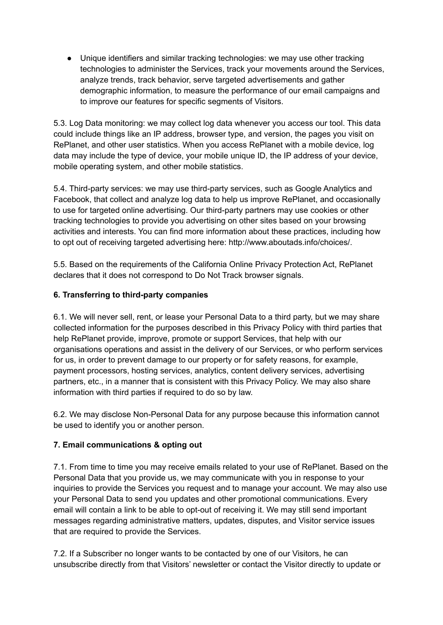● Unique identifiers and similar tracking technologies: we may use other tracking technologies to administer the Services, track your movements around the Services, analyze trends, track behavior, serve targeted advertisements and gather demographic information, to measure the performance of our email campaigns and to improve our features for specific segments of Visitors.

5.3. Log Data monitoring: we may collect log data whenever you access our tool. This data could include things like an IP address, browser type, and version, the pages you visit on RePlanet, and other user statistics. When you access RePlanet with a mobile device, log data may include the type of device, your mobile unique ID, the IP address of your device, mobile operating system, and other mobile statistics.

5.4. Third-party services: we may use third-party services, such as Google Analytics and Facebook, that collect and analyze log data to help us improve RePlanet, and occasionally to use for targeted online advertising. Our third-party partners may use cookies or other tracking technologies to provide you advertising on other sites based on your browsing activities and interests. You can find more information about these practices, including how to opt out of receiving targeted advertising here: http://www.aboutads.info/choices/.

5.5. Based on the requirements of the California Online Privacy Protection Act, RePlanet declares that it does not correspond to Do Not Track browser signals.

### **6. Transferring to third-party companies**

6.1. We will never sell, rent, or lease your Personal Data to a third party, but we may share collected information for the purposes described in this Privacy Policy with third parties that help RePlanet provide, improve, promote or support Services, that help with our organisations operations and assist in the delivery of our Services, or who perform services for us, in order to prevent damage to our property or for safety reasons, for example, payment processors, hosting services, analytics, content delivery services, advertising partners, etc., in a manner that is consistent with this Privacy Policy. We may also share information with third parties if required to do so by law.

6.2. We may disclose Non-Personal Data for any purpose because this information cannot be used to identify you or another person.

### **7. Email communications & opting out**

7.1. From time to time you may receive emails related to your use of RePlanet. Based on the Personal Data that you provide us, we may communicate with you in response to your inquiries to provide the Services you request and to manage your account. We may also use your Personal Data to send you updates and other promotional communications. Every email will contain a link to be able to opt-out of receiving it. We may still send important messages regarding administrative matters, updates, disputes, and Visitor service issues that are required to provide the Services.

7.2. If a Subscriber no longer wants to be contacted by one of our Visitors, he can unsubscribe directly from that Visitors' newsletter or contact the Visitor directly to update or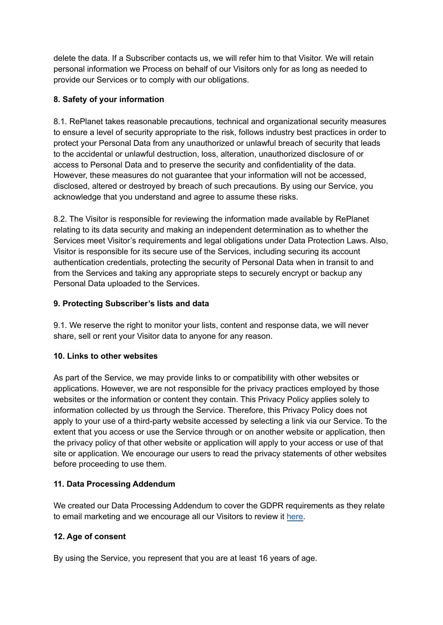delete the data. If a Subscriber contacts us, we will refer him to that Visitor. We will retain personal information we Process on behalf of our Visitors only for as long as needed to provide our Services or to comply with our obligations.

## **8. Safety of your information**

8.1. RePlanet takes reasonable precautions, technical and organizational security measures to ensure a level of security appropriate to the risk, follows industry best practices in order to protect your Personal Data from any unauthorized or unlawful breach of security that leads to the accidental or unlawful destruction, loss, alteration, unauthorized disclosure of or access to Personal Data and to preserve the security and confidentiality of the data. However, these measures do not guarantee that your information will not be accessed, disclosed, altered or destroyed by breach of such precautions. By using our Service, you acknowledge that you understand and agree to assume these risks.

8.2. The Visitor is responsible for reviewing the information made available by RePlanet relating to its data security and making an independent determination as to whether the Services meet Visitor's requirements and legal obligations under Data Protection Laws. Also, Visitor is responsible for its secure use of the Services, including securing its account authentication credentials, protecting the security of Personal Data when in transit to and from the Services and taking any appropriate steps to securely encrypt or backup any Personal Data uploaded to the Services.

### **9. Protecting Subscriber's lists and data**

9.1. We reserve the right to monitor your lists, content and response data, we will never share, sell or rent your Visitor data to anyone for any reason.

### **10. Links to other websites**

As part of the Service, we may provide links to or compatibility with other websites or applications. However, we are not responsible for the privacy practices employed by those websites or the information or content they contain. This Privacy Policy applies solely to information collected by us through the Service. Therefore, this Privacy Policy does not apply to your use of a third-party website accessed by selecting a link via our Service. To the extent that you access or use the Service through or on another website or application, then the privacy policy of that other website or application will apply to your access or use of that site or application. We encourage our users to read the privacy statements of other websites before proceeding to use them.

### **11. Data Processing Addendum**

We created our Data Processing Addendum to cover the GDPR requirements as they relate to email marketing and we encourage all our Visitors to review it [here.](https://www.mailerlite.com/legal/data-processing-agreement)

### **12. Age of consent**

By using the Service, you represent that you are at least 16 years of age.